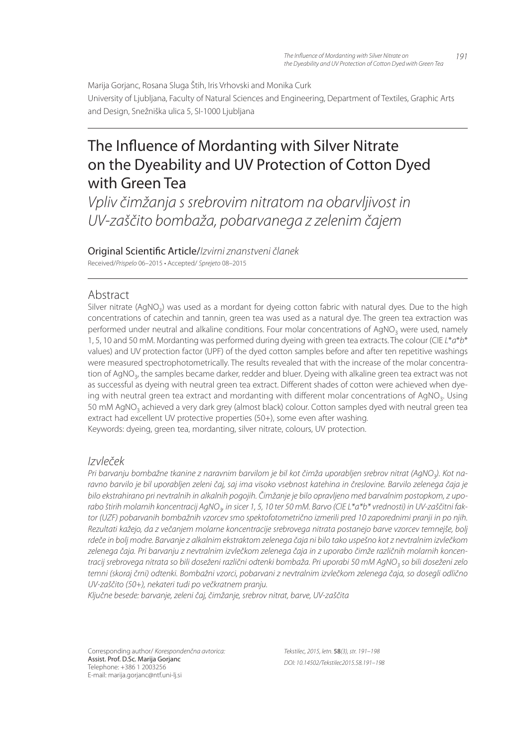Marija Gorjanc, Rosana Sluga Štih, Iris Vrhovski and Monika Curk University of Ljubljana, Faculty of Natural Sciences and Engineering, Department of Textiles, Graphic Arts and Design, Snežniška ulica 5, SI-1000 Ljubljana

# The Influence of Mordanting with Silver Nitrate on the Dyeability and UV Protection of Cotton Dyed with Green Tea

*Vpliv čimžanja s srebrovim nitratom na obarvljivost in UV-zaščito bombaža, pobarvanega z zelenim čajem*

Original Scienti" c Article/*Izvirni znanstveni članek* Received/*Prispelo* 06–2015 • Accepted/ *Sprejeto* 08–2015

# Abstract

Silver nitrate (AgNO<sub>3</sub>) was used as a mordant for dyeing cotton fabric with natural dyes. Due to the high concentrations of catechin and tannin, green tea was used as a natural dye. The green tea extraction was performed under neutral and alkaline conditions. Four molar concentrations of AgNO<sub>3</sub> were used, namely 1, 5, 10 and 50 mM. Mordanting was performed during dyeing with green tea extracts. The colour (CIE *L*\**a*\**b*\* values) and UV protection factor (UPF) of the dyed cotton samples before and after ten repetitive washings were measured spectrophotometrically. The results revealed that with the increase of the molar concentration of AgNO<sub>3</sub>, the samples became darker, redder and bluer. Dyeing with alkaline green tea extract was not as successful as dyeing with neutral green tea extract. Different shades of cotton were achieved when dyeing with neutral green tea extract and mordanting with different molar concentrations of AgNO<sub>3</sub>. Using 50 mM AgNO<sub>3</sub> achieved a very dark grey (almost black) colour. Cotton samples dyed with neutral green tea extract had excellent UV protective properties (50+), some even after washing. Keywords: dyeing, green tea, mordanting, silver nitrate, colours, UV protection.

# *Izvleček*

*Pri barvanju bombažne tkanine z naravnim barvilom je bil kot čimža uporabljen srebrov nitrat (AgNO<sup>3</sup> ). Kot naravno barvilo je bil uporabljen zeleni čaj, saj ima visoko vsebnost katehina in čreslovine. Barvilo zelenega čaja je bilo ekstrahirano pri nevtralnih in alkalnih pogojih. Čimžanje je bilo opravljeno med barvalnim postopkom, z upo*rabo štirih molarnih koncentracij AgNO<sub>3</sub>, in sicer 1, 5, 10 ter 50 mM. Barvo (CIE L\*a\*b\* vrednosti) in UV-zaščitni fak*tor (UZF) pobarvanih bombažnih vzorcev smo spektofotometrično izmerili pred 10 zaporednimi pranji in po njih. Rezultati kažejo, da z večanjem molarne koncentracije srebrovega nitrata postanejo barve vzorcev temnejše, bolj rdeče in bolj modre. Barvanje z alkalnim ekstraktom zelenega čaja ni bilo tako uspešno kot z nevtralnim izvlečkom zelenega čaja. Pri barvanju z nevtralnim izvlečkom zelenega čaja in z uporabo čimže različnih molarnih koncentracij srebrovega nitrata so bili doseženi različni odtenki bombaža. Pri uporabi 50 mM AgNO<sup>3</sup> so bili doseženi zelo temni (skoraj črni) odtenki. Bombažni vzorci, pobarvani z nevtralnim izvlečkom zelenega čaja, so dosegli odlično UV-zaščito (50+), nekateri tudi po večkratnem pranju.*

*Ključne besede: barvanje, zeleni čaj, čimžanje, srebrov nitrat, barve, UV-zaščita*

Corresponding author/ *Korespondenčna avtorica:* Assist. Prof. D.Sc. Marija Gorjanc Telephone: +386 1 2003256 E-mail: marija.gorjanc@ntf.uni-lj.si

*Tekstilec, 2015, letn.* 58*(3), str. 191–198 DOI: 10.14502/Tekstilec2015.58.191–198*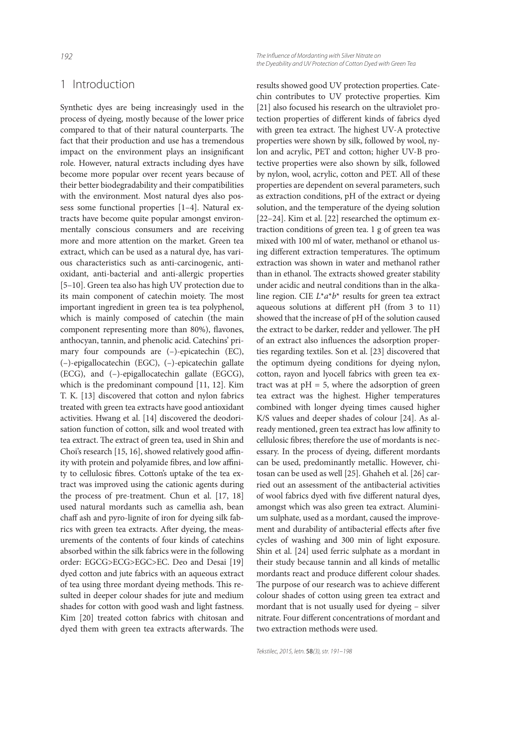### 1 Introduction

Synthetic dyes are being increasingly used in the process of dyeing, mostly because of the lower price compared to that of their natural counterparts. The fact that their production and use has a tremendous impact on the environment plays an insignificant role. However, natural extracts including dyes have become more popular over recent years because of their better biodegradability and their compatibilities with the environment. Most natural dyes also possess some functional properties [1–4]. Natural extracts have become quite popular amongst environmentally conscious consumers and are receiving more and more attention on the market. Green tea extract, which can be used as a natural dye, has various characteristics such as anti-carcinogenic, antioxidant, anti-bacterial and anti-allergic properties [5–10]. Green tea also has high UV protection due to its main component of catechin moiety. The most important ingredient in green tea is tea polyphenol, which is mainly composed of catechin (the main component representing more than 80%), flavones, anthocyan, tannin, and phenolic acid. Catechins' primary four compounds are (–)-epicatechin (EC), (–)-epigallocatechin (EGC), (–)-epicatechin gallate (ECG), and (–)-epigallocatechin gallate (EGCG), which is the predominant compound [11, 12]. Kim T. K. [13] discovered that cotton and nylon fabrics treated with green tea extracts have good antioxidant activities. Hwang et al. [14] discovered the deodorisation function of cotton, silk and wool treated with tea extract. The extract of green tea, used in Shin and Choi's research  $[15, 16]$ , showed relatively good affinity with protein and polyamide fibres, and low affinity to cellulosic fibres. Cotton's uptake of the tea extract was improved using the cationic agents during the process of pre-treatment. Chun et al. [17, 18] used natural mordants such as camellia ash, bean chaff ash and pyro-lignite of iron for dyeing silk fabrics with green tea extracts. After dyeing, the measurements of the contents of four kinds of catechins absorbed within the silk fabrics were in the following order: EGCG>ECG>EGC>EC. Deo and Desai [19] dyed cotton and jute fabrics with an aqueous extract of tea using three mordant dyeing methods. This resulted in deeper colour shades for jute and medium shades for cotton with good wash and light fastness. Kim [20] treated cotton fabrics with chitosan and dyed them with green tea extracts afterwards. The

*192 The Infl uence of Mordanting with Silver Nitrate on the Dyeability and UV Protection of Cotton Dyed with Green Tea*

> results showed good UV protection properties. Catechin contributes to UV protective properties. Kim [21] also focused his research on the ultraviolet protection properties of different kinds of fabrics dyed with green tea extract. The highest UV-A protective properties were shown by silk, followed by wool, nylon and acrylic, PET and cotton; higher UV-B protective properties were also shown by silk, followed by nylon, wool, acrylic, cotton and PET. All of these properties are dependent on several parameters, such as extraction conditions, pH of the extract or dyeing solution, and the temperature of the dyeing solution [22–24]. Kim et al. [22] researched the optimum extraction conditions of green tea. 1 g of green tea was mixed with 100 ml of water, methanol or ethanol using different extraction temperatures. The optimum extraction was shown in water and methanol rather than in ethanol. The extracts showed greater stability under acidic and neutral conditions than in the alkaline region. CIE  $L^*a^*b^*$  results for green tea extract aqueous solutions at different pH (from  $3$  to  $11$ ) showed that the increase of pH of the solution caused the extract to be darker, redder and yellower. The pH of an extract also influences the adsorption properties regarding textiles. Son et al. [23] discovered that the optimum dyeing conditions for dyeing nylon, cotton, rayon and lyocell fabrics with green tea extract was at  $pH = 5$ , where the adsorption of green tea extract was the highest. Higher temperatures combined with longer dyeing times caused higher K/S values and deeper shades of colour [24]. As already mentioned, green tea extract has low affinity to cellulosic fibres; therefore the use of mordants is necessary. In the process of dyeing, different mordants can be used, predominantly metallic. However, chitosan can be used as well [25]. Ghaheh et al. [26] carried out an assessment of the antibacterial activities of wool fabrics dyed with five different natural dyes, amongst which was also green tea extract. Aluminium sulphate, used as a mordant, caused the improvement and durability of antibacterial effects after five cycles of washing and 300 min of light exposure. Shin et al. [24] used ferric sulphate as a mordant in their study because tannin and all kinds of metallic mordants react and produce different colour shades. The purpose of our research was to achieve different colour shades of cotton using green tea extract and mordant that is not usually used for dyeing – silver nitrate. Four different concentrations of mordant and two extraction methods were used.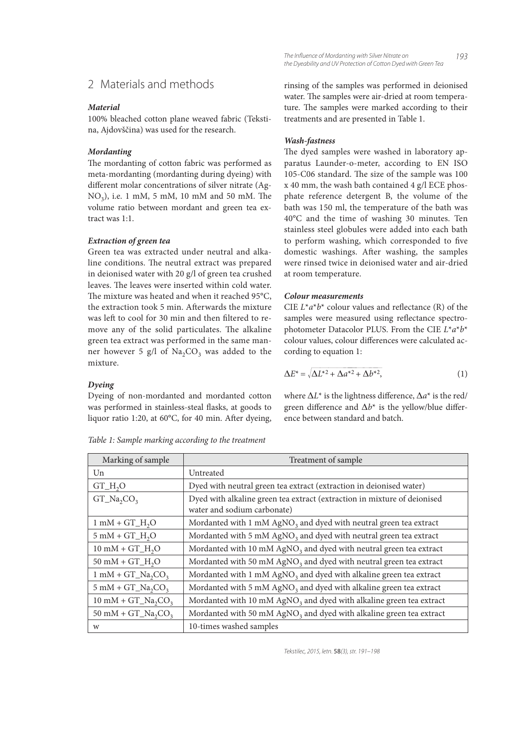## 2 Materials and methods

#### **Material**

100% bleached cotton plane weaved fabric (Tekstina, Ajdovščina) was used for the research.

#### **Mordanting**

The mordanting of cotton fabric was performed as meta-mordanting (mordanting during dyeing) with different molar concentrations of silver nitrate (Ag- $NO<sub>3</sub>$ ), i.e. 1 mM, 5 mM, 10 mM and 50 mM. The volume ratio between mordant and green tea extract was 1:1.

#### **Extraction of green tea**

Green tea was extracted under neutral and alkaline conditions. The neutral extract was prepared in deionised water with 20 g/l of green tea crushed leaves. The leaves were inserted within cold water. The mixture was heated and when it reached 95°C, the extraction took 5 min. Afterwards the mixture was left to cool for 30 min and then filtered to remove any of the solid particulates. The alkaline green tea extract was performed in the same manner however 5 g/l of  $\text{Na}_2\text{CO}_3$  was added to the mixture.

#### **Dyeing**

Dyeing of non-mordanted and mordanted cotton was performed in stainless-steal flasks, at goods to liquor ratio 1:20, at  $60^{\circ}$ C, for 40 min. After dyeing,

rinsing of the samples was performed in deionised water. The samples were air-dried at room temperature. The samples were marked according to their treatments and are presented in Table 1.

#### **Wash-fastness**

The dyed samples were washed in laboratory apparatus Launder-o-meter, according to EN ISO 105-C06 standard. The size of the sample was 100 x 40 mm, the wash bath contained 4 g/l ECE phosphate reference detergent B, the volume of the bath was 150 ml, the temperature of the bath was 40°C and the time of washing 30 minutes. Ten stainless steel globules were added into each bath to perform washing, which corresponded to five domestic washings. After washing, the samples were rinsed twice in deionised water and air-dried at room temperature.

#### **Colour measurements**

CIE  $L^*a^*b^*$  colour values and reflectance (R) of the samples were measured using reflectance spectrophotometer Datacolor PLUS. From the CIE  $L^*a^*b^*$ colour values, colour differences were calculated according to equation 1:

$$
\Delta E^* = \sqrt{\Delta L^{*2} + \Delta a^{*2} + \Delta b^{*2}},\tag{1}
$$

where  $\Delta L^*$  is the lightness difference,  $\Delta a^*$  is the red/ green difference and  $\Delta b^*$  is the yellow/blue difference between standard and batch.

| Marking of sample                          | Treatment of sample                                                                                     |  |  |  |
|--------------------------------------------|---------------------------------------------------------------------------------------------------------|--|--|--|
| Un                                         | Untreated                                                                                               |  |  |  |
| $GT_H, O$                                  | Dyed with neutral green tea extract (extraction in deionised water)                                     |  |  |  |
| $GT_Na_2CO_3$                              | Dyed with alkaline green tea extract (extraction in mixture of deionised<br>water and sodium carbonate) |  |  |  |
| $1 \text{ mM} + GT_H$ <sub>2</sub> O       | Mordanted with 1 mM AgNO <sub>3</sub> and dyed with neutral green tea extract                           |  |  |  |
| $5 \text{ mM} + GT_H$ , O                  | Mordanted with 5 mM AgNO <sub>3</sub> and dyed with neutral green tea extract                           |  |  |  |
| $10 \text{ mM} + GT_H$ <sub>2</sub> O      | Mordanted with 10 mM AgNO <sub>3</sub> and dyed with neutral green tea extract                          |  |  |  |
| $50 \text{ mM} + GT_H$ <sub>2</sub> O      | Mordanted with 50 mM AgNO <sub>3</sub> and dyed with neutral green tea extract                          |  |  |  |
| $1 \text{ mM} + GT_\text{A}CO_\text{A}$    | Mordanted with 1 mM AgNO <sub>3</sub> and dyed with alkaline green tea extract                          |  |  |  |
| $5 \text{ mM} + GT_\text{A}2CO_3$          | Mordanted with 5 mM AgNO <sub>3</sub> and dyed with alkaline green tea extract                          |  |  |  |
| $10 \text{ mM} + GT_\text{a}CO_3$          | Mordanted with 10 mM $AgNO3$ and dyed with alkaline green tea extract                                   |  |  |  |
| 50 mM + GT_Na <sub>2</sub> CO <sub>3</sub> | Mordanted with 50 mM AgNO <sub>3</sub> and dyed with alkaline green tea extract                         |  |  |  |
| W                                          | 10-times washed samples                                                                                 |  |  |  |

Table 1: Sample marking according to the treatment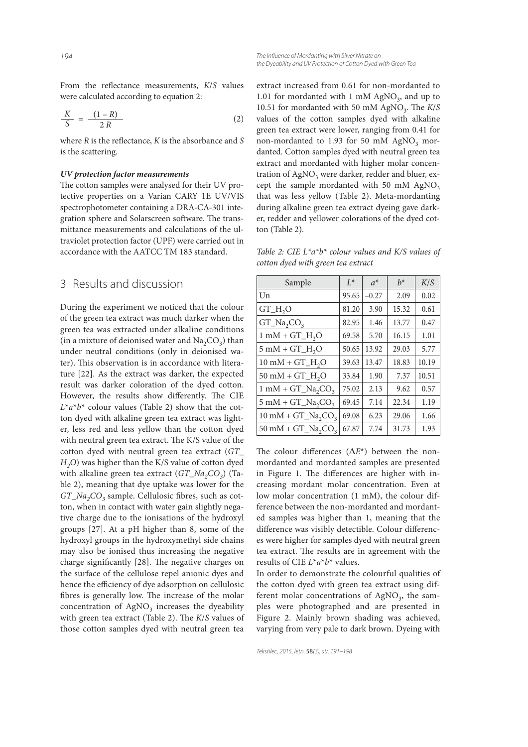From the reflectance measurements,  $K/S$  values were calculated according to equation 2:

$$
\frac{K}{S} = \frac{(1 - R)}{2 R} \tag{2}
$$

where  $R$  is the reflectance,  $K$  is the absorbance and  $S$ is the scattering.

#### **UV protection factor measurements**

The cotton samples were analysed for their UV protective properties on a Varian CARY 1E UV/VIS spectrophotometer containing a DRA-CA-301 integration sphere and Solarscreen software. The transmittance measurements and calculations of the ultraviolet protection factor (UPF) were carried out in accordance with the AATCC TM 183 standard.

### 3 Results and discussion

During the experiment we noticed that the colour of the green tea extract was much darker when the green tea was extracted under alkaline conditions (in a mixture of deionised water and  $\operatorname{Na_2CO_3})$  than under neutral conditions (only in deionised water). This observation is in accordance with literature [22]. As the extract was darker, the expected result was darker coloration of the dyed cotton. However, the results show differently. The CIE  $L^*a^*b^*$  colour values (Table 2) show that the cotton dyed with alkaline green tea extract was lighter, less red and less yellow than the cotton dyed with neutral green tea extract. The K/S value of the cotton dyed with neutral green tea extract (GT\_  $H<sub>2</sub>O$ ) was higher than the K/S value of cotton dyed with alkaline green tea extract  $(GT\_Na_2CO_3)$  (Table 2), meaning that dye uptake was lower for the  $GT\_Na_2CO_3$  sample. Cellulosic fibres, such as cotton, when in contact with water gain slightly negative charge due to the ionisations of the hydroxyl groups [27]. At a pH higher than 8, some of the hydroxyl groups in the hydroxymethyl side chains may also be ionised thus increasing the negative charge significantly [28]. The negative charges on the surface of the cellulose repel anionic dyes and hence the efficiency of dye adsorption on cellulosic fibres is generally low. The increase of the molar concentration of  $AgNO<sub>3</sub>$  increases the dyeability with green tea extract (Table 2). The  $K/S$  values of those cotton samples dyed with neutral green tea

extract increased from 0.61 for non-mordanted to 1.01 for mordanted with 1 mM AgNO<sub>3</sub>, and up to 10.51 for mordanted with 50 mM AgNO<sub>3</sub>. The  $K/S$ values of the cotton samples dyed with alkaline green tea extract were lower, ranging from 0.41 for non-mordanted to 1.93 for 50 mM  $\text{AgNO}_3$  mordanted. Cotton samples dyed with neutral green tea extract and mordanted with higher molar concentration of AgNO<sub>3</sub> were darker, redder and bluer, except the sample mordanted with 50 mM  $AgNO<sub>3</sub>$ that was less yellow (Table 2). Meta-mordanting during alkaline green tea extract dyeing gave darker, redder and yellower colorations of the dyed cotton (Table 2).

Table 2: CIE  $L^*a^*b^*$  colour values and K/S values of cotton dyed with green tea extract

| Sample                                   | $L^*$ | $a^*$   | $h^*$ | K/S   |
|------------------------------------------|-------|---------|-------|-------|
| Un                                       | 95.65 | $-0.27$ | 2.09  | 0.02  |
| $GT_H_2O$                                | 81.20 | 3.90    | 15.32 | 0.61  |
| $GT_Na_2CO_3$                            | 82.95 | 1.46    | 13.77 | 0.47  |
| $1 \text{ mM} + GT_H$ <sub>2</sub> O     | 69.58 | 5.70    | 16.15 | 1.01  |
| $5 \text{ mM} + GT_H$ <sub>2</sub> O     | 50.65 | 13.92   | 29.03 | 5.77  |
| $10 \text{ mM} + GT_H$ <sub>2</sub> O    | 39.63 | 13.47   | 18.83 | 10.19 |
| $50 \text{ mM} + GT_H$ <sub>2</sub> O    | 33.84 | 1.90    | 7.37  | 10.51 |
| $1 \text{ mM} + GT_\text{A}CO_3$         | 75.02 | 2.13    | 9.62  | 0.57  |
| $5 \text{ mM} + GT_\text{A}C_3$          | 69.45 | 7.14    | 22.34 | 1.19  |
| $10 \text{ mM} + GT_\text{A}C_3$         | 69.08 | 6.23    | 29.06 | 1.66  |
| $50 \text{ mM} + GT_\text{A}CO_\text{3}$ | 67.87 | 7.74    | 31.73 | 1.93  |

The colour differences ( $\Delta E^*$ ) between the nonmordanted and mordanted samples are presented in Figure 1. The differences are higher with increasing mordant molar concentration. Even at low molar concentration (1 mM), the colour difference between the non-mordanted and mordanted samples was higher than 1, meaning that the difference was visibly detectible. Colour differences were higher for samples dyed with neutral green tea extract. The results are in agreement with the results of CIE  $L^*a^*b^*$  values.

In order to demonstrate the colourful qualities of the cotton dyed with green tea extract using different molar concentrations of  $\text{AgNO}_3$ , the samples were photographed and are presented in Figure 2. Mainly brown shading was achieved, varying from very pale to dark brown. Dyeing with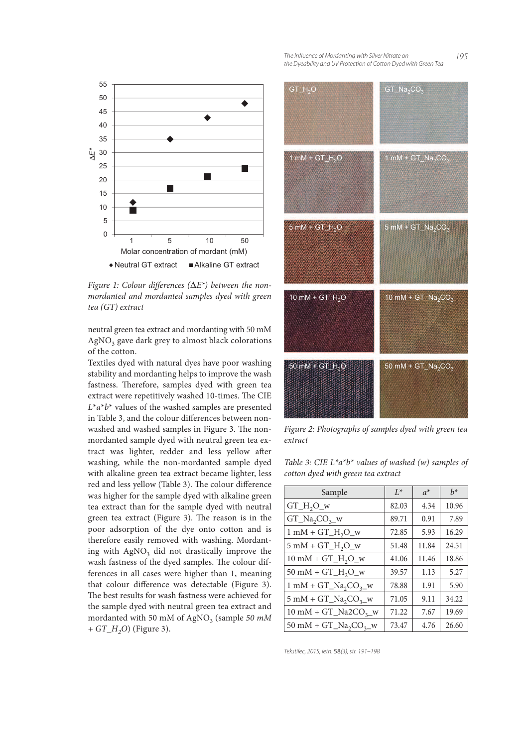*The Infl uence of Mordanting with Silver Nitrate on 195 the Dyeability and UV Protection of Cotton Dyed with Green Tea*



Figure 1: Colour differences ( $\Delta E^*$ ) between the nonmordanted and mordanted samples dyed with green tea (GT) extract

neutral green tea extract and mordanting with 50 mM  $\mathrm{AgNO}_3$  gave dark grey to almost black colorations of the cotton.

Textiles dyed with natural dyes have poor washing stability and mordanting helps to improve the wash fastness. Therefore, samples dyed with green tea extract were repetitively washed 10-times. The CIE  $L^*a^*b^*$  values of the washed samples are presented in Table 3, and the colour differences between nonwashed and washed samples in Figure 3. The nonmordanted sample dyed with neutral green tea extract was lighter, redder and less yellow after washing, while the non-mordanted sample dyed with alkaline green tea extract became lighter, less red and less yellow (Table 3). The colour difference was higher for the sample dyed with alkaline green tea extract than for the sample dyed with neutral green tea extract (Figure 3). The reason is in the poor adsorption of the dye onto cotton and is therefore easily removed with washing. Mordanting with  $\text{AgNO}_3$  did not drastically improve the wash fastness of the dyed samples. The colour differences in all cases were higher than 1, meaning that colour difference was detectable (Figure 3). The best results for wash fastness were achieved for the sample dyed with neutral green tea extract and mordanted with 50 mM of AgNO<sub>3</sub> (sample 50 *mM*  $+ GT_{-}H_{2}O$  (Figure 3).



Figure 2: Photographs of samples dyed with green tea extract

Table 3: CIE  $L^*a^*b^*$  values of washed (w) samples of cotton dyed with green tea extract

| Sample                                 | $L^*$ | $a^*$ | $h^*$ |
|----------------------------------------|-------|-------|-------|
| $GT_H_2O_w$                            | 82.03 | 4.34  | 10.96 |
| $GT_Na_2CO_3$ w                        | 89.71 | 0.91  | 7.89  |
| $1 \text{ mM} + GT_H_2O_w$             | 72.85 | 5.93  | 16.29 |
| $5 \text{ mM} + GT_H_2O_w$             | 51.48 | 11.84 | 24.51 |
| $10 \text{ mM} + GT_H$ , $O_w$         | 41.06 | 11.46 | 18.86 |
| 50 mM + $GT_H_2O_w$                    | 39.57 | 1.13  | 5.27  |
| $1 \text{ mM} + GT_Na_2CO_3$ w         | 78.88 | 1.91  | 5.90  |
| $5 \text{ mM} + GT_Na_2CO_{3}$ w       | 71.05 | 9.11  | 34.22 |
| $10 \text{ mM} + GT_\text{a}2CO_{3}$ w | 71.22 | 7.67  | 19.69 |
| 50 mM + $GT_Na_2CO_3$ w                | 73.47 | 4.76  | 26.60 |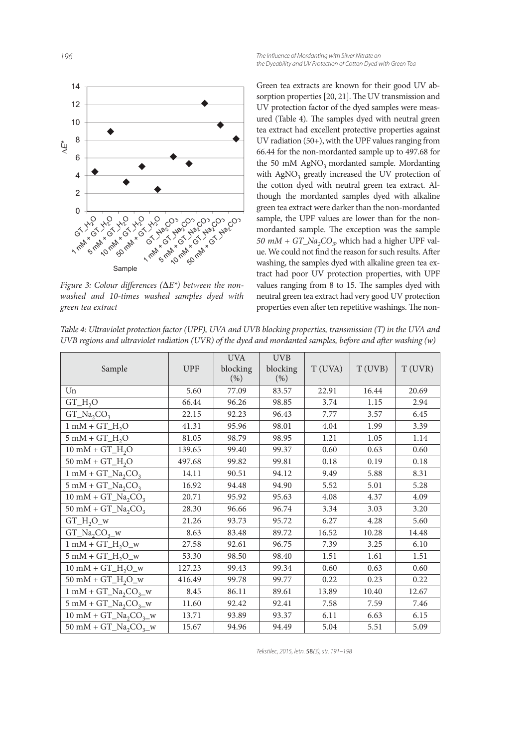*196 The Infl uence of Mordanting with Silver Nitrate on the Dyeability and UV Protection of Cotton Dyed with Green Tea*



Figure 3: Colour differences ( $\Delta E^*$ ) between the nonwashed and 10-times washed samples dyed with green tea extract

Green tea extracts are known for their good UV absorption properties [20, 21]. The UV transmission and UV protection factor of the dyed samples were measured (Table 4). The samples dyed with neutral green tea extract had excellent protective properties against UV radiation (50+), with the UPF values ranging from 66.44 for the non-mordanted sample up to 497.68 for the 50 mM  $AgNO<sub>3</sub>$  mordanted sample. Mordanting with  $AgNO<sub>3</sub>$  greatly increased the UV protection of the cotton dyed with neutral green tea extract. Although the mordanted samples dyed with alkaline green tea extract were darker than the non-mordanted sample, the UPF values are lower than for the nonmordanted sample. The exception was the sample 50 mM +  $GT\_Na_2CO_3$ , which had a higher UPF value. We could not find the reason for such results. After washing, the samples dyed with alkaline green tea extract had poor UV protection properties, with UPF values ranging from 8 to 15. The samples dyed with neutral green tea extract had very good UV protection properties even after ten repetitive washings. The non-

Table 4: Ultraviolet protection factor (UPF), UVA and UVB blocking properties, transmission (T) in the UVA and UVB regions and ultraviolet radiation (UVR) of the dyed and mordanted samples, before and after washing  $(w)$ 

| Sample                                                        | <b>UPF</b> | <b>UVA</b><br>blocking<br>(% ) | <b>UVB</b><br>blocking<br>(%) | T (UVA) | T(UVB) | T(UVR) |
|---------------------------------------------------------------|------------|--------------------------------|-------------------------------|---------|--------|--------|
| Un                                                            | 5.60       | 77.09                          | 83.57                         | 22.91   | 16.44  | 20.69  |
| $GT_H, O$                                                     | 66.44      | 96.26                          | 98.85                         | 3.74    | 1.15   | 2.94   |
| $GT_Na_2CO_3$                                                 | 22.15      | 92.23                          | 96.43                         | 7.77    | 3.57   | 6.45   |
| $1 \text{ mM} + GT_H$ <sub>2</sub> O                          | 41.31      | 95.96                          | 98.01                         | 4.04    | 1.99   | 3.39   |
| $5 \text{ mM} + GT_H$ <sub>2</sub> O                          | 81.05      | 98.79                          | 98.95                         | 1.21    | 1.05   | 1.14   |
| $10 \text{ mM} + GT_H_2O$                                     | 139.65     | 99.40                          | 99.37                         | 0.60    | 0.63   | 0.60   |
| $50 \text{ mM} + GT_H$ <sub>2</sub> O                         | 497.68     | 99.82                          | 99.81                         | 0.18    | 0.19   | 0.18   |
| $1 \text{ mM} + GT_\text{A}CO_3$                              | 14.11      | 90.51                          | 94.12                         | 9.49    | 5.88   | 8.31   |
| $5 \text{ mM} + GT_\text{A}Q_2CO_3$                           | 16.92      | 94.48                          | 94.90                         | 5.52    | 5.01   | 5.28   |
| $10 \text{ mM} + GT_\text{a}_2CO_3$                           | 20.71      | 95.92                          | 95.63                         | 4.08    | 4.37   | 4.09   |
| 50 mM + GT_Na <sub>2</sub> CO <sub>3</sub>                    | 28.30      | 96.66                          | 96.74                         | 3.34    | 3.03   | 3.20   |
| $GT_H, O_w$                                                   | 21.26      | 93.73                          | 95.72                         | 6.27    | 4.28   | 5.60   |
| $GT_Na_2CO_3$ w                                               | 8.63       | 83.48                          | 89.72                         | 16.52   | 10.28  | 14.48  |
| $1 \text{ mM} + \text{GT\_H}_2\text{O\_w}$                    | 27.58      | 92.61                          | 96.75                         | 7.39    | 3.25   | 6.10   |
| $5 \text{ mM} + GT_H_2O_w$                                    | 53.30      | 98.50                          | 98.40                         | 1.51    | 1.61   | 1.51   |
| $10 \text{ mM} + GT_H_2O_w$                                   | 127.23     | 99.43                          | 99.34                         | 0.60    | 0.63   | 0.60   |
| 50 mM + $GT_H_2O_w$                                           | 416.49     | 99.78                          | 99.77                         | 0.22    | 0.23   | 0.22   |
| $1 \text{ mM} + GT_Na_2CO_{3}$ w                              | 8.45       | 86.11                          | 89.61                         | 13.89   | 10.40  | 12.67  |
| $5 \text{ mM} + \text{GT}$ Na <sub>2</sub> CO <sub>3</sub> _w | 11.60      | 92.42                          | 92.41                         | 7.58    | 7.59   | 7.46   |
| $10 \text{ mM} + GT_\text{a}CO_\text{a}$ W                    | 13.71      | 93.89                          | 93.37                         | 6.11    | 6.63   | 6.15   |
| 50 mM + GT_Na <sub>2</sub> CO <sub>3_W</sub>                  | 15.67      | 94.96                          | 94.49                         | 5.04    | 5.51   | 5.09   |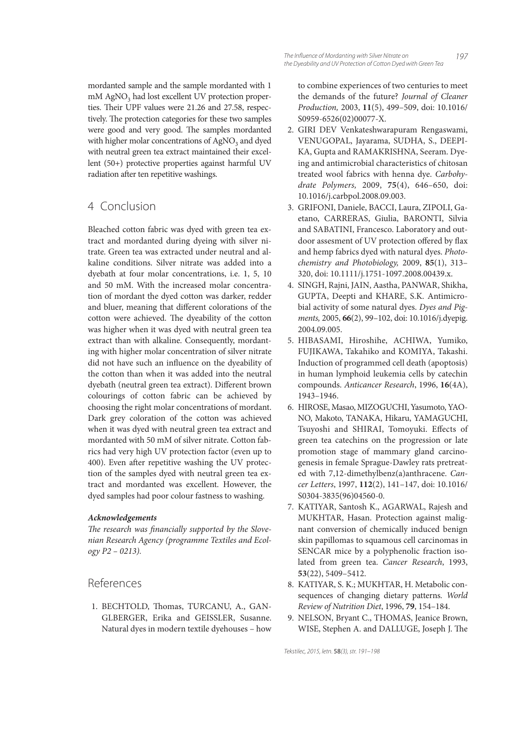mordanted sample and the sample mordanted with 1  $\text{mM AgNO}_3$  had lost excellent UV protection properties. Their UPF values were 21.26 and 27.58, respectively. The protection categories for these two samples were good and very good. The samples mordanted with higher molar concentrations of  $\mathrm{AgNO}_{3}$  and dyed with neutral green tea extract maintained their excellent (50+) protective properties against harmful UV radiation after ten repetitive washings.

## 4 Conclusion

Bleached cotton fabric was dyed with green tea extract and mordanted during dyeing with silver nitrate. Green tea was extracted under neutral and alkaline conditions. Silver nitrate was added into a dyebath at four molar concentrations, i.e. 1, 5, 10 and 50 mM. With the increased molar concentration of mordant the dyed cotton was darker, redder and bluer, meaning that different colorations of the cotton were achieved. The dyeability of the cotton was higher when it was dyed with neutral green tea extract than with alkaline. Consequently, mordanting with higher molar concentration of silver nitrate did not have such an influence on the dyeability of the cotton than when it was added into the neutral dyebath (neutral green tea extract). Different brown colourings of cotton fabric can be achieved by choosing the right molar concentrations of mordant. Dark grey coloration of the cotton was achieved when it was dyed with neutral green tea extract and mordanted with 50 mM of silver nitrate. Cotton fabrics had very high UV protection factor (even up to 400). Even after repetitive washing the UV protection of the samples dyed with neutral green tea extract and mordanted was excellent. However, the dyed samples had poor colour fastness to washing.

#### **Acknowledgements**

The research was financially supported by the Slovenian Research Agency (programme Textiles and Ecology P2 – 0213).

### References

1. BECHTOLD, Thomas, TURCANU, A., GAN-GLBERGER, Erika and GEISSLER, Susanne. Natural dyes in modern textile dyehouses – how to combine experiences of two centuries to meet the demands of the future? Journal of Cleaner Production, 2003, **11**(5), 499–509, doi: 10.1016/ S0959-6526(02)00077-X.

- 2. GIRI DEV Venkateshwarapuram Rengaswami, VENUGOPAL, Jayarama, SUDHA, S., DEEPI-KA, Gupta and RAMAKRISHNA, Seeram. Dyeing and antimicrobial characteristics of chitosan treated wool fabrics with henna dye. Carbohydrate Polymers, 2009, **75**(4), 646–650, doi: 10.1016/j.carbpol.2008.09.003.
- 3. GRIFONI, Daniele, BACCI, Laura, ZIPOLI, Gaetano, CARRERAS, Giulia, BARONTI, Silvia and SABATINI, Francesco. Laboratory and outdoor assesment of UV protection offered by flax and hemp fabrics dyed with natural dyes. Photochemistry and Photobiology, 2009, **85**(1), 313– 320, doi: 10.1111/j.1751-1097.2008.00439.x.
- 4. SINGH, Rajni, JAIN, Aastha, PANWAR, Shikha, GUPTA, Deepti and KHARE, S.K. Antimicrobial activity of some natural dyes. Dyes and Pigments, 2005, **66**(2), 99–102, doi: 10.1016/j.dyepig. 2004.09.005.
- 5. HIBASAMI, Hiroshihe, ACHIWA, Yumiko, FUJIKAWA, Takahiko and KOMIYA, Takashi. Induction of programmed cell death (apoptosis) in human lymphoid leukemia cells by catechin compounds. Anticancer Research, 1996, **16**(4A), 1943–1946.
- 6. HIROSE, Masao, MIZOGUCHI, Yasumoto, YAO-NO, Makoto, TANAKA, Hikaru, YAMAGUCHI, Tsuyoshi and SHIRAI, Tomoyuki. Effects of green tea catechins on the progression or late promotion stage of mammary gland carcinogenesis in female Sprague-Dawley rats pretreated with 7,12-dimethylbenz(a)anthracene. Cancer Letters, 1997, **112**(2), 141–147, doi: 10.1016/ S0304-3835(96)04560-0.
- 7. KATIYAR, Santosh K., AGARWAL, Rajesh and MUKHTAR, Hasan. Protection against malignant conversion of chemically induced benign skin papillomas to squamous cell carcinomas in SENCAR mice by a polyphenolic fraction isolated from green tea. Cancer Research, 1993, **53**(22), 5409–5412.
- 8. KATIYAR, S. K.; MUKHTAR, H. Metabolic consequences of changing dietary patterns. World Review of Nutrition Diet, 1996, **79**, 154–184.
- 9. NELSON, Bryant C., THOMAS, Jeanice Brown, WISE, Stephen A. and DALLUGE, Joseph J. The